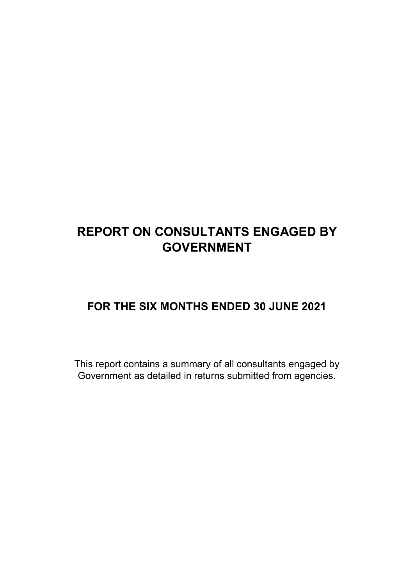# **REPORT ON CONSULTANTS ENGAGED BY GOVERNMENT**

### **FOR THE SIX MONTHS ENDED 30 JUNE 2021**

This report contains a summary of all consultants engaged by Government as detailed in returns submitted from agencies.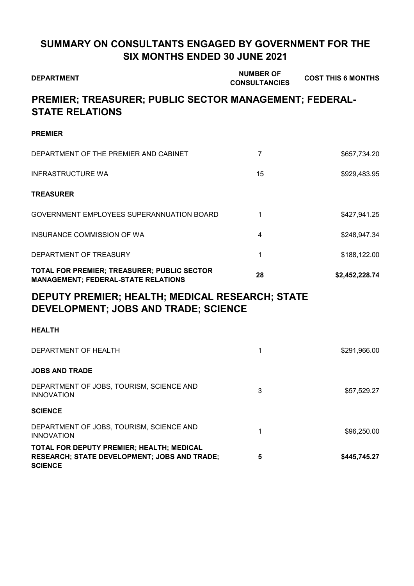### **SUMMARY ON CONSULTANTS ENGAGED BY GOVERNMENT FOR THE SIX MONTHS ENDED 30 JUNE 2021**

| <b>DEPARTMENT</b>                                                                                           | <b>NUMBER OF</b><br><b>CONSULTANCIES</b> | <b>COST THIS 6 MONTHS</b> |
|-------------------------------------------------------------------------------------------------------------|------------------------------------------|---------------------------|
| PREMIER; TREASURER; PUBLIC SECTOR MANAGEMENT; FEDERAL-<br><b>STATE RELATIONS</b>                            |                                          |                           |
| <b>PREMIER</b>                                                                                              |                                          |                           |
| DEPARTMENT OF THE PREMIER AND CABINET                                                                       | $\overline{7}$                           | \$657,734.20              |
| <b>INFRASTRUCTURE WA</b>                                                                                    | 15                                       | \$929,483.95              |
| <b>TREASURER</b>                                                                                            |                                          |                           |
| GOVERNMENT EMPLOYEES SUPERANNUATION BOARD                                                                   | 1                                        | \$427,941.25              |
| INSURANCE COMMISSION OF WA                                                                                  | 4                                        | \$248,947.34              |
| DEPARTMENT OF TREASURY                                                                                      | 1                                        | \$188,122.00              |
| TOTAL FOR PREMIER; TREASURER; PUBLIC SECTOR<br><b>MANAGEMENT; FEDERAL-STATE RELATIONS</b>                   | 28                                       | \$2,452,228.74            |
| DEPUTY PREMIER; HEALTH; MEDICAL RESEARCH; STATE<br>DEVELOPMENT; JOBS AND TRADE; SCIENCE                     |                                          |                           |
| <b>HEALTH</b>                                                                                               |                                          |                           |
| DEPARTMENT OF HEALTH                                                                                        | 1                                        | \$291,966.00              |
| <b>JOBS AND TRADE</b>                                                                                       |                                          |                           |
| DEPARTMENT OF JOBS, TOURISM, SCIENCE AND<br><b>INNOVATION</b>                                               | 3                                        | \$57,529.27               |
| <b>SCIENCE</b>                                                                                              |                                          |                           |
| DEPARTMENT OF JOBS, TOURISM, SCIENCE AND<br><b>INNOVATION</b>                                               | 1                                        | \$96,250.00               |
| TOTAL FOR DEPUTY PREMIER; HEALTH; MEDICAL<br>RESEARCH; STATE DEVELOPMENT; JOBS AND TRADE;<br><b>SCIENCE</b> | 5                                        | \$445,745.27              |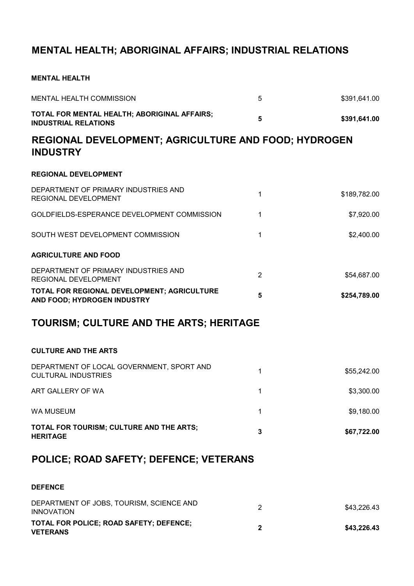### **MENTAL HEALTH; ABORIGINAL AFFAIRS; INDUSTRIAL RELATIONS**

#### **MENTAL HEALTH**

| <b>MENTAL HEALTH COMMISSION</b>                                                | 5              | \$391,641.00 |
|--------------------------------------------------------------------------------|----------------|--------------|
| TOTAL FOR MENTAL HEALTH; ABORIGINAL AFFAIRS;<br><b>INDUSTRIAL RELATIONS</b>    | 5              | \$391,641.00 |
| <b>REGIONAL DEVELOPMENT; AGRICULTURE AND FOOD; HYDROGEN</b><br><b>INDUSTRY</b> |                |              |
| <b>REGIONAL DEVELOPMENT</b>                                                    |                |              |
| DEPARTMENT OF PRIMARY INDUSTRIES AND<br>REGIONAL DEVELOPMENT                   | 1              | \$189,782.00 |
| GOLDFIELDS-ESPERANCE DEVELOPMENT COMMISSION                                    | 1              | \$7,920.00   |
| SOUTH WEST DEVELOPMENT COMMISSION                                              | 1              | \$2,400.00   |
| <b>AGRICULTURE AND FOOD</b>                                                    |                |              |
| DEPARTMENT OF PRIMARY INDUSTRIES AND<br>REGIONAL DEVELOPMENT                   | $\overline{2}$ | \$54,687.00  |
| TOTAL FOR REGIONAL DEVELOPMENT; AGRICULTURE<br>AND FOOD; HYDROGEN INDUSTRY     | 5              | \$254,789.00 |
| TOURISM; CULTURE AND THE ARTS; HERITAGE                                        |                |              |
| <b>CULTURE AND THE ARTS</b>                                                    |                |              |
| DEPARTMENT OF LOCAL GOVERNMENT, SPORT AND<br><b>CULTURAL INDUSTRIES</b>        | 1              | \$55,242.00  |
| ART GALLERY OF WA                                                              | 1              | \$3,300.00   |
| <b>WA MUSEUM</b>                                                               | 1              | \$9,180.00   |
| TOTAL FOR TOURISM; CULTURE AND THE ARTS;<br><b>HERITAGE</b>                    | 3              | \$67,722.00  |
| POLICE; ROAD SAFETY; DEFENCE; VETERANS                                         |                |              |
| <b>DEFENCE</b>                                                                 |                |              |
| DEPARTMENT OF JOBS, TOURISM, SCIENCE AND<br><b>INNOVATION</b>                  | $\overline{2}$ | \$43,226.43  |
| TOTAL FOR POLICE; ROAD SAFETY; DEFENCE;<br><b>VETERANS</b>                     | $\mathbf{2}$   | \$43,226.43  |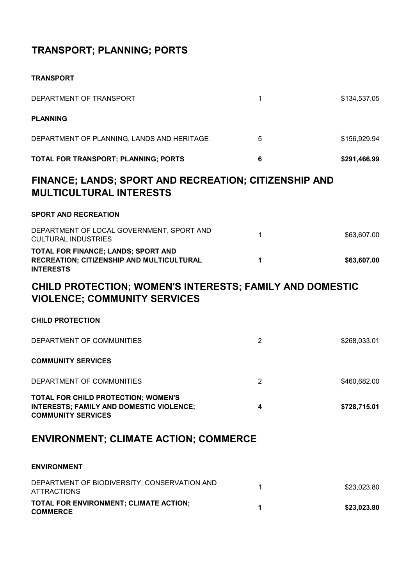## **TRANSPORT; PLANNING; PORTS**

| DEPARTMENT OF TRANSPORT                                                                                      | 1              | \$134,537.05 |
|--------------------------------------------------------------------------------------------------------------|----------------|--------------|
| <b>PLANNING</b>                                                                                              |                |              |
| DEPARTMENT OF PLANNING, LANDS AND HERITAGE                                                                   | 5              | \$156,929.94 |
| TOTAL FOR TRANSPORT; PLANNING; PORTS                                                                         | 6              | \$291,466.99 |
| FINANCE; LANDS; SPORT AND RECREATION; CITIZENSHIP AND<br><b>MULTICULTURAL INTERESTS</b>                      |                |              |
| <b>SPORT AND RECREATION</b>                                                                                  |                |              |
| DEPARTMENT OF LOCAL GOVERNMENT, SPORT AND<br><b>CULTURAL INDUSTRIES</b>                                      | 1              | \$63,607.00  |
| TOTAL FOR FINANCE; LANDS; SPORT AND<br>RECREATION; CITIZENSHIP AND MULTICULTURAL<br><b>INTERESTS</b>         | 1              | \$63,607.00  |
| CHILD PROTECTION; WOMEN'S INTERESTS; FAMILY AND DOMESTIC<br><b>VIOLENCE; COMMUNITY SERVICES</b>              |                |              |
| <b>CHILD PROTECTION</b>                                                                                      |                |              |
| DEPARTMENT OF COMMUNITIES                                                                                    | $\overline{2}$ | \$268,033.01 |
| <b>COMMUNITY SERVICES</b>                                                                                    |                |              |
| DEPARTMENT OF COMMUNITIES                                                                                    | $\overline{2}$ | \$460,682.00 |
| TOTAL FOR CHILD PROTECTION; WOMEN'S<br>INTERESTS; FAMILY AND DOMESTIC VIOLENCE;<br><b>COMMUNITY SERVICES</b> | 4              | \$728,715.01 |
| <b>ENVIRONMENT; CLIMATE ACTION; COMMERCE</b>                                                                 |                |              |
| <b>ENVIRONMENT</b>                                                                                           |                |              |
| DEPARTMENT OF BIODIVERSITY, CONSERVATION AND<br><b>ATTRACTIONS</b>                                           | 1              | \$23,023.80  |
| TOTAL FOR ENVIRONMENT; CLIMATE ACTION;<br><b>COMMERCE</b>                                                    | 1              | \$23,023.80  |